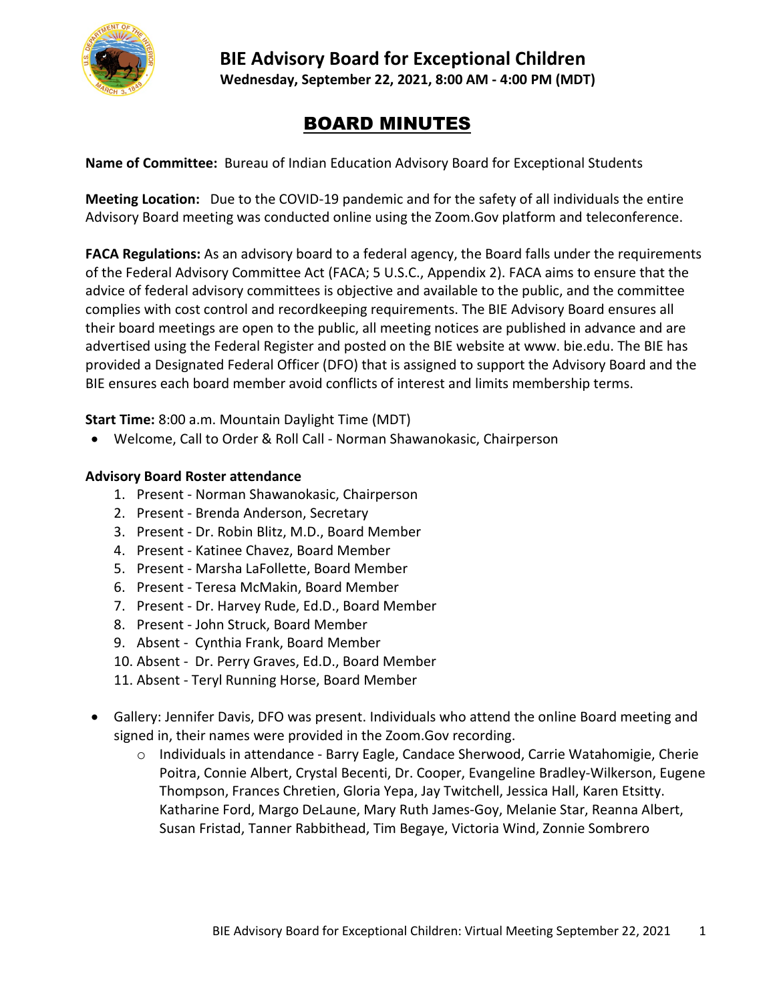

# **BIE Advisory Board for Exceptional Children Wednesday, September 22, 2021, 8:00 AM - 4:00 PM (MDT)**

# BOARD MINUTES

**Name of Committee:** Bureau of Indian Education Advisory Board for Exceptional Students

**Meeting Location:** Due to the COVID-19 pandemic and for the safety of all individuals the entire Advisory Board meeting was conducted online using the Zoom.Gov platform and teleconference.

**FACA Regulations:** As an advisory board to a federal agency, the Board falls under the requirements of the Federal Advisory Committee Act (FACA; 5 U.S.C., Appendix 2). FACA aims to ensure that the advice of federal advisory committees is objective and available to the public, and the committee complies with cost control and recordkeeping requirements. The BIE Advisory Board ensures all their board meetings are open to the public, all meeting notices are published in advance and are advertised using the Federal Register and posted on the BIE website at www. bie.edu. The BIE has provided a Designated Federal Officer (DFO) that is assigned to support the Advisory Board and the BIE ensures each board member avoid conflicts of interest and limits membership terms.

**Start Time:** 8:00 a.m. Mountain Daylight Time (MDT)

• Welcome, Call to Order & Roll Call - Norman Shawanokasic, Chairperson

#### **Advisory Board Roster attendance**

- 1. Present Norman Shawanokasic, Chairperson
- 2. Present Brenda Anderson, Secretary
- 3. Present Dr. Robin Blitz, M.D., Board Member
- 4. Present Katinee Chavez, Board Member
- 5. Present Marsha LaFollette, Board Member
- 6. Present Teresa McMakin, Board Member
- 7. Present Dr. Harvey Rude, Ed.D., Board Member
- 8. Present John Struck, Board Member
- 9. Absent Cynthia Frank, Board Member
- 10. Absent Dr. Perry Graves, Ed.D., Board Member
- 11. Absent Teryl Running Horse, Board Member
- Gallery: Jennifer Davis, DFO was present. Individuals who attend the online Board meeting and signed in, their names were provided in the Zoom.Gov recording.
	- o Individuals in attendance Barry Eagle, Candace Sherwood, Carrie Watahomigie, Cherie Poitra, Connie Albert, Crystal Becenti, Dr. Cooper, Evangeline Bradley-Wilkerson, Eugene Thompson, Frances Chretien, Gloria Yepa, Jay Twitchell, Jessica Hall, Karen Etsitty. Katharine Ford, Margo DeLaune, Mary Ruth James-Goy, Melanie Star, Reanna Albert, Susan Fristad, Tanner Rabbithead, Tim Begaye, Victoria Wind, Zonnie Sombrero